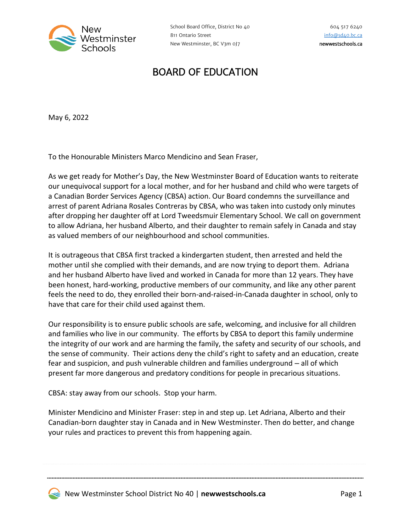

## BOARD OF EDUCATION

May 6, 2022

To the Honourable Ministers Marco Mendicino and Sean Fraser,

As we get ready for Mother's Day, the New Westminster Board of Education wants to reiterate our unequivocal support for a local mother, and for her husband and child who were targets of a Canadian Border Services Agency (CBSA) action. Our Board condemns the surveillance and arrest of parent Adriana Rosales Contreras by CBSA, who was taken into custody only minutes after dropping her daughter off at Lord Tweedsmuir Elementary School. We call on government to allow Adriana, her husband Alberto, and their daughter to remain safely in Canada and stay as valued members of our neighbourhood and school communities.

It is outrageous that CBSA first tracked a kindergarten student, then arrested and held the mother until she complied with their demands, and are now trying to deport them. Adriana and her husband Alberto have lived and worked in Canada for more than 12 years. They have been honest, hard-working, productive members of our community, and like any other parent feels the need to do, they enrolled their born-and-raised-in-Canada daughter in school, only to have that care for their child used against them.

Our responsibility is to ensure public schools are safe, welcoming, and inclusive for all children and families who live in our community. The efforts by CBSA to deport this family undermine the integrity of our work and are harming the family, the safety and security of our schools, and the sense of community. Their actions deny the child's right to safety and an education, create fear and suspicion, and push vulnerable children and families underground – all of which present far more dangerous and predatory conditions for people in precarious situations.

CBSA: stay away from our schools. Stop your harm.

Minister Mendicino and Minister Fraser: step in and step up. Let Adriana, Alberto and their Canadian-born daughter stay in Canada and in New Westminster. Then do better, and change your rules and practices to prevent this from happening again.